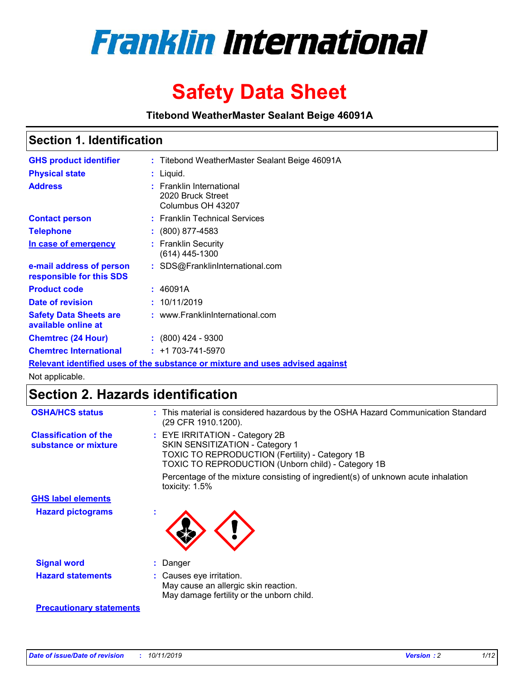

# **Safety Data Sheet**

**Titebond WeatherMaster Sealant Beige 46091A**

## **Section 1. Identification**

| <b>GHS product identifier</b>                        | : Titebond WeatherMaster Sealant Beige 46091A                                 |
|------------------------------------------------------|-------------------------------------------------------------------------------|
| <b>Physical state</b>                                | : Liquid.                                                                     |
| <b>Address</b>                                       | : Franklin International<br>2020 Bruck Street<br>Columbus OH 43207            |
| <b>Contact person</b>                                | : Franklin Technical Services                                                 |
| <b>Telephone</b>                                     | : (800) 877-4583                                                              |
| In case of emergency                                 | : Franklin Security<br>$(614)$ 445-1300                                       |
| e-mail address of person<br>responsible for this SDS | : SDS@FranklinInternational.com                                               |
| <b>Product code</b>                                  | : 46091A                                                                      |
| Date of revision                                     | : 10/11/2019                                                                  |
| <b>Safety Data Sheets are</b><br>available online at | : www.FranklinInternational.com                                               |
| <b>Chemtrec (24 Hour)</b>                            | $\div$ (800) 424 - 9300                                                       |
| <b>Chemtrec International</b>                        | $: +1703 - 741 - 5970$                                                        |
|                                                      | Relevant identified uses of the substance or mixture and uses advised against |

Not applicable.

# **Section 2. Hazards identification**

| <b>OSHA/HCS status</b>                               | : This material is considered hazardous by the OSHA Hazard Communication Standard<br>(29 CFR 1910.1200).                                                                                 |
|------------------------------------------------------|------------------------------------------------------------------------------------------------------------------------------------------------------------------------------------------|
| <b>Classification of the</b><br>substance or mixture | : EYE IRRITATION - Category 2B<br>SKIN SENSITIZATION - Category 1<br><b>TOXIC TO REPRODUCTION (Fertility) - Category 1B</b><br><b>TOXIC TO REPRODUCTION (Unborn child) - Category 1B</b> |
|                                                      | Percentage of the mixture consisting of ingredient(s) of unknown acute inhalation<br>toxicity: $1.5\%$                                                                                   |
| <b>GHS label elements</b>                            |                                                                                                                                                                                          |
| <b>Hazard pictograms</b>                             |                                                                                                                                                                                          |
| <b>Signal word</b>                                   | : Danger                                                                                                                                                                                 |
| <b>Hazard statements</b>                             | : Causes eye irritation.<br>May cause an allergic skin reaction.<br>May damage fertility or the unborn child.                                                                            |
| <b>Precautionary statements</b>                      |                                                                                                                                                                                          |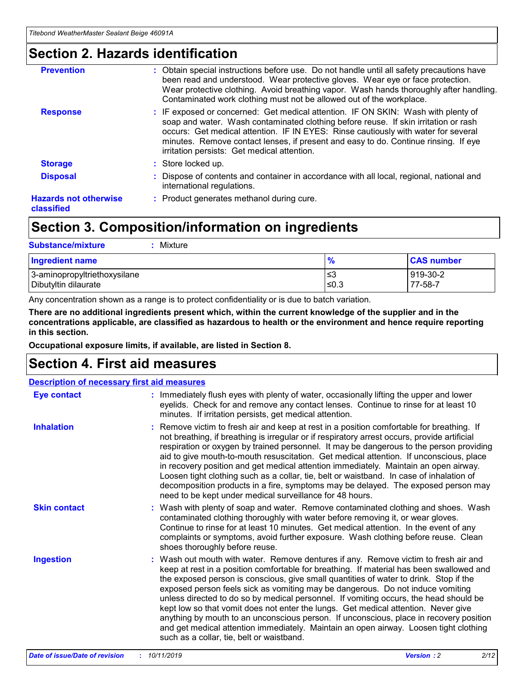## **Section 2. Hazards identification**

| <b>Prevention</b>                          | : Obtain special instructions before use. Do not handle until all safety precautions have<br>been read and understood. Wear protective gloves. Wear eye or face protection.<br>Wear protective clothing. Avoid breathing vapor. Wash hands thoroughly after handling.<br>Contaminated work clothing must not be allowed out of the workplace.                                                        |
|--------------------------------------------|------------------------------------------------------------------------------------------------------------------------------------------------------------------------------------------------------------------------------------------------------------------------------------------------------------------------------------------------------------------------------------------------------|
| <b>Response</b>                            | : IF exposed or concerned: Get medical attention. IF ON SKIN: Wash with plenty of<br>soap and water. Wash contaminated clothing before reuse. If skin irritation or rash<br>occurs: Get medical attention. IF IN EYES: Rinse cautiously with water for several<br>minutes. Remove contact lenses, if present and easy to do. Continue rinsing. If eye<br>irritation persists: Get medical attention. |
| <b>Storage</b>                             | : Store locked up.                                                                                                                                                                                                                                                                                                                                                                                   |
| <b>Disposal</b>                            | : Dispose of contents and container in accordance with all local, regional, national and<br>international regulations.                                                                                                                                                                                                                                                                               |
| <b>Hazards not otherwise</b><br>classified | : Product generates methanol during cure.                                                                                                                                                                                                                                                                                                                                                            |
|                                            |                                                                                                                                                                                                                                                                                                                                                                                                      |

# **Section 3. Composition/information on ingredients**

| <b>Substance/mixture</b><br>Mixture                  |                   |                     |
|------------------------------------------------------|-------------------|---------------------|
| <b>Ingredient name</b>                               | $\frac{9}{6}$     | <b>CAS number</b>   |
| 3-aminopropyltriethoxysilane<br>Dibutyltin dilaurate | l≤3<br>$\leq 0.3$ | 919-30-2<br>77-58-7 |

Any concentration shown as a range is to protect confidentiality or is due to batch variation.

**There are no additional ingredients present which, within the current knowledge of the supplier and in the concentrations applicable, are classified as hazardous to health or the environment and hence require reporting in this section.**

**Occupational exposure limits, if available, are listed in Section 8.**

# **Section 4. First aid measures**

| <b>Description of necessary first aid measures</b> |                                                                                                                                                                                                                                                                                                                                                                                                                                                                                                                                                                                                                                                                                                                                                                           |  |  |  |
|----------------------------------------------------|---------------------------------------------------------------------------------------------------------------------------------------------------------------------------------------------------------------------------------------------------------------------------------------------------------------------------------------------------------------------------------------------------------------------------------------------------------------------------------------------------------------------------------------------------------------------------------------------------------------------------------------------------------------------------------------------------------------------------------------------------------------------------|--|--|--|
| <b>Eye contact</b>                                 | : Immediately flush eyes with plenty of water, occasionally lifting the upper and lower<br>eyelids. Check for and remove any contact lenses. Continue to rinse for at least 10<br>minutes. If irritation persists, get medical attention.                                                                                                                                                                                                                                                                                                                                                                                                                                                                                                                                 |  |  |  |
| <b>Inhalation</b>                                  | : Remove victim to fresh air and keep at rest in a position comfortable for breathing. If<br>not breathing, if breathing is irregular or if respiratory arrest occurs, provide artificial<br>respiration or oxygen by trained personnel. It may be dangerous to the person providing<br>aid to give mouth-to-mouth resuscitation. Get medical attention. If unconscious, place<br>in recovery position and get medical attention immediately. Maintain an open airway.<br>Loosen tight clothing such as a collar, tie, belt or waistband. In case of inhalation of<br>decomposition products in a fire, symptoms may be delayed. The exposed person may<br>need to be kept under medical surveillance for 48 hours.                                                       |  |  |  |
| <b>Skin contact</b>                                | : Wash with plenty of soap and water. Remove contaminated clothing and shoes. Wash<br>contaminated clothing thoroughly with water before removing it, or wear gloves.<br>Continue to rinse for at least 10 minutes. Get medical attention. In the event of any<br>complaints or symptoms, avoid further exposure. Wash clothing before reuse. Clean<br>shoes thoroughly before reuse.                                                                                                                                                                                                                                                                                                                                                                                     |  |  |  |
| <b>Ingestion</b>                                   | : Wash out mouth with water. Remove dentures if any. Remove victim to fresh air and<br>keep at rest in a position comfortable for breathing. If material has been swallowed and<br>the exposed person is conscious, give small quantities of water to drink. Stop if the<br>exposed person feels sick as vomiting may be dangerous. Do not induce vomiting<br>unless directed to do so by medical personnel. If vomiting occurs, the head should be<br>kept low so that vomit does not enter the lungs. Get medical attention. Never give<br>anything by mouth to an unconscious person. If unconscious, place in recovery position<br>and get medical attention immediately. Maintain an open airway. Loosen tight clothing<br>such as a collar, tie, belt or waistband. |  |  |  |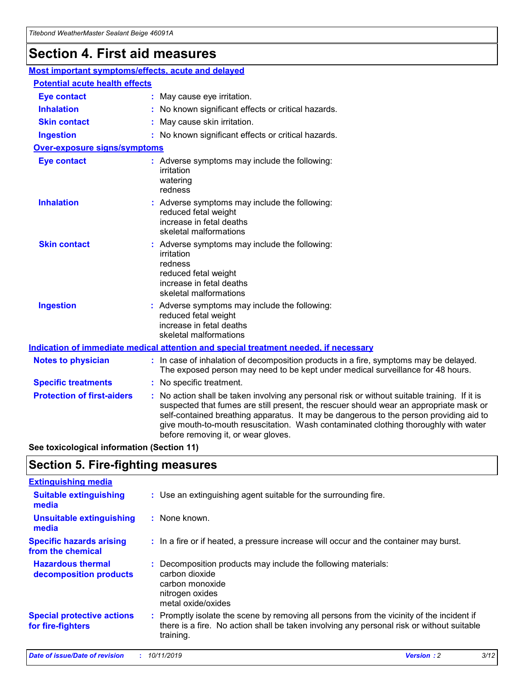# **Section 4. First aid measures**

| Most important symptoms/effects, acute and delayed |                                       |                                                                                                                                                                                                                                                                                                                                                                                                                 |  |  |  |
|----------------------------------------------------|---------------------------------------|-----------------------------------------------------------------------------------------------------------------------------------------------------------------------------------------------------------------------------------------------------------------------------------------------------------------------------------------------------------------------------------------------------------------|--|--|--|
|                                                    | <b>Potential acute health effects</b> |                                                                                                                                                                                                                                                                                                                                                                                                                 |  |  |  |
| <b>Eye contact</b>                                 |                                       | : May cause eye irritation.                                                                                                                                                                                                                                                                                                                                                                                     |  |  |  |
| <b>Inhalation</b>                                  |                                       | : No known significant effects or critical hazards.                                                                                                                                                                                                                                                                                                                                                             |  |  |  |
| <b>Skin contact</b>                                |                                       | : May cause skin irritation.                                                                                                                                                                                                                                                                                                                                                                                    |  |  |  |
| <b>Ingestion</b>                                   |                                       | : No known significant effects or critical hazards.                                                                                                                                                                                                                                                                                                                                                             |  |  |  |
| Over-exposure signs/symptoms                       |                                       |                                                                                                                                                                                                                                                                                                                                                                                                                 |  |  |  |
| <b>Eye contact</b>                                 |                                       | : Adverse symptoms may include the following:<br>irritation<br>watering<br>redness                                                                                                                                                                                                                                                                                                                              |  |  |  |
| <b>Inhalation</b>                                  |                                       | : Adverse symptoms may include the following:<br>reduced fetal weight<br>increase in fetal deaths<br>skeletal malformations                                                                                                                                                                                                                                                                                     |  |  |  |
| <b>Skin contact</b>                                |                                       | : Adverse symptoms may include the following:<br>irritation<br>redness<br>reduced fetal weight<br>increase in fetal deaths<br>skeletal malformations                                                                                                                                                                                                                                                            |  |  |  |
| <b>Ingestion</b>                                   |                                       | : Adverse symptoms may include the following:<br>reduced fetal weight<br>increase in fetal deaths<br>skeletal malformations                                                                                                                                                                                                                                                                                     |  |  |  |
|                                                    |                                       | <b>Indication of immediate medical attention and special treatment needed, if necessary</b>                                                                                                                                                                                                                                                                                                                     |  |  |  |
| <b>Notes to physician</b>                          |                                       | : In case of inhalation of decomposition products in a fire, symptoms may be delayed.<br>The exposed person may need to be kept under medical surveillance for 48 hours.                                                                                                                                                                                                                                        |  |  |  |
| <b>Specific treatments</b>                         |                                       | : No specific treatment.                                                                                                                                                                                                                                                                                                                                                                                        |  |  |  |
| <b>Protection of first-aiders</b>                  |                                       | : No action shall be taken involving any personal risk or without suitable training. If it is<br>suspected that fumes are still present, the rescuer should wear an appropriate mask or<br>self-contained breathing apparatus. It may be dangerous to the person providing aid to<br>give mouth-to-mouth resuscitation. Wash contaminated clothing thoroughly with water<br>before removing it, or wear gloves. |  |  |  |

**See toxicological information (Section 11)**

## **Section 5. Fire-fighting measures**

| <b>Extinguishing media</b>                             |                                                                                                                                                                                                     |
|--------------------------------------------------------|-----------------------------------------------------------------------------------------------------------------------------------------------------------------------------------------------------|
| <b>Suitable extinguishing</b><br>media                 | : Use an extinguishing agent suitable for the surrounding fire.                                                                                                                                     |
| <b>Unsuitable extinguishing</b><br>media               | : None known.                                                                                                                                                                                       |
| <b>Specific hazards arising</b><br>from the chemical   | : In a fire or if heated, a pressure increase will occur and the container may burst.                                                                                                               |
| <b>Hazardous thermal</b><br>decomposition products     | : Decomposition products may include the following materials:<br>carbon dioxide<br>carbon monoxide<br>nitrogen oxides<br>metal oxide/oxides                                                         |
| <b>Special protective actions</b><br>for fire-fighters | : Promptly isolate the scene by removing all persons from the vicinity of the incident if<br>there is a fire. No action shall be taken involving any personal risk or without suitable<br>training. |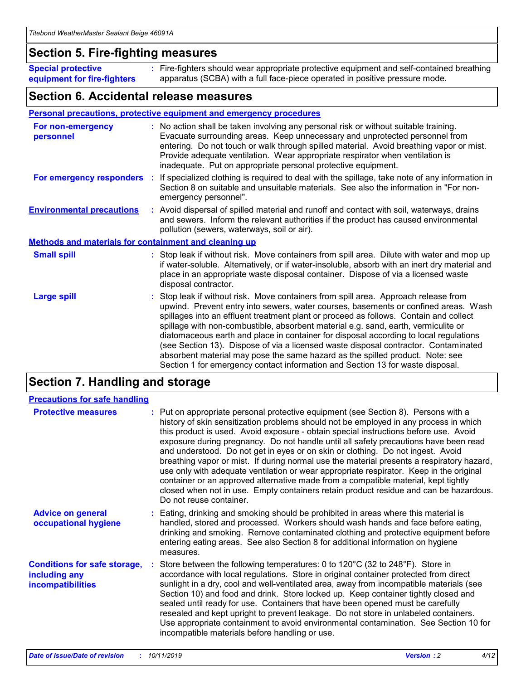## **Section 5. Fire-fighting measures**

**Special protective equipment for fire-fighters** Fire-fighters should wear appropriate protective equipment and self-contained breathing **:** apparatus (SCBA) with a full face-piece operated in positive pressure mode.

## **Section 6. Accidental release measures**

## **Personal precautions, protective equipment and emergency procedures**

| For non-emergency<br>personnel                               | : No action shall be taken involving any personal risk or without suitable training.<br>Evacuate surrounding areas. Keep unnecessary and unprotected personnel from<br>entering. Do not touch or walk through spilled material. Avoid breathing vapor or mist.<br>Provide adequate ventilation. Wear appropriate respirator when ventilation is<br>inadequate. Put on appropriate personal protective equipment.                                                                                                                                                                                                                                                                                             |
|--------------------------------------------------------------|--------------------------------------------------------------------------------------------------------------------------------------------------------------------------------------------------------------------------------------------------------------------------------------------------------------------------------------------------------------------------------------------------------------------------------------------------------------------------------------------------------------------------------------------------------------------------------------------------------------------------------------------------------------------------------------------------------------|
| For emergency responders                                     | : If specialized clothing is required to deal with the spillage, take note of any information in<br>Section 8 on suitable and unsuitable materials. See also the information in "For non-<br>emergency personnel".                                                                                                                                                                                                                                                                                                                                                                                                                                                                                           |
| <b>Environmental precautions</b>                             | : Avoid dispersal of spilled material and runoff and contact with soil, waterways, drains<br>and sewers. Inform the relevant authorities if the product has caused environmental<br>pollution (sewers, waterways, soil or air).                                                                                                                                                                                                                                                                                                                                                                                                                                                                              |
| <b>Methods and materials for containment and cleaning up</b> |                                                                                                                                                                                                                                                                                                                                                                                                                                                                                                                                                                                                                                                                                                              |
| <b>Small spill</b>                                           | : Stop leak if without risk. Move containers from spill area. Dilute with water and mop up<br>if water-soluble. Alternatively, or if water-insoluble, absorb with an inert dry material and<br>place in an appropriate waste disposal container. Dispose of via a licensed waste<br>disposal contractor.                                                                                                                                                                                                                                                                                                                                                                                                     |
| <b>Large spill</b>                                           | : Stop leak if without risk. Move containers from spill area. Approach release from<br>upwind. Prevent entry into sewers, water courses, basements or confined areas. Wash<br>spillages into an effluent treatment plant or proceed as follows. Contain and collect<br>spillage with non-combustible, absorbent material e.g. sand, earth, vermiculite or<br>diatomaceous earth and place in container for disposal according to local regulations<br>(see Section 13). Dispose of via a licensed waste disposal contractor. Contaminated<br>absorbent material may pose the same hazard as the spilled product. Note: see<br>Section 1 for emergency contact information and Section 13 for waste disposal. |

# **Section 7. Handling and storage**

| <b>Precautions for safe handling</b>                                             |                                                                                                                                                                                                                                                                                                                                                                                                                                                                                                                                                                                                                                                                                                                                                                                                                                                  |
|----------------------------------------------------------------------------------|--------------------------------------------------------------------------------------------------------------------------------------------------------------------------------------------------------------------------------------------------------------------------------------------------------------------------------------------------------------------------------------------------------------------------------------------------------------------------------------------------------------------------------------------------------------------------------------------------------------------------------------------------------------------------------------------------------------------------------------------------------------------------------------------------------------------------------------------------|
| <b>Protective measures</b>                                                       | : Put on appropriate personal protective equipment (see Section 8). Persons with a<br>history of skin sensitization problems should not be employed in any process in which<br>this product is used. Avoid exposure - obtain special instructions before use. Avoid<br>exposure during pregnancy. Do not handle until all safety precautions have been read<br>and understood. Do not get in eyes or on skin or clothing. Do not ingest. Avoid<br>breathing vapor or mist. If during normal use the material presents a respiratory hazard,<br>use only with adequate ventilation or wear appropriate respirator. Keep in the original<br>container or an approved alternative made from a compatible material, kept tightly<br>closed when not in use. Empty containers retain product residue and can be hazardous.<br>Do not reuse container. |
| <b>Advice on general</b><br>occupational hygiene                                 | : Eating, drinking and smoking should be prohibited in areas where this material is<br>handled, stored and processed. Workers should wash hands and face before eating,<br>drinking and smoking. Remove contaminated clothing and protective equipment before<br>entering eating areas. See also Section 8 for additional information on hygiene<br>measures.                                                                                                                                                                                                                                                                                                                                                                                                                                                                                    |
| <b>Conditions for safe storage,</b><br>including any<br><b>incompatibilities</b> | Store between the following temperatures: 0 to $120^{\circ}$ C (32 to $248^{\circ}$ F). Store in<br>accordance with local regulations. Store in original container protected from direct<br>sunlight in a dry, cool and well-ventilated area, away from incompatible materials (see<br>Section 10) and food and drink. Store locked up. Keep container tightly closed and<br>sealed until ready for use. Containers that have been opened must be carefully<br>resealed and kept upright to prevent leakage. Do not store in unlabeled containers.<br>Use appropriate containment to avoid environmental contamination. See Section 10 for<br>incompatible materials before handling or use.                                                                                                                                                     |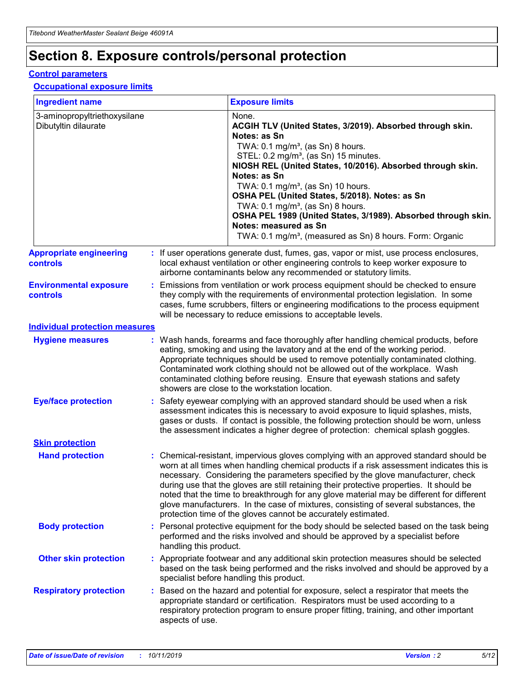# **Section 8. Exposure controls/personal protection**

### **Control parameters**

## **Occupational exposure limits**

| <b>Ingredient name</b>                               |    |                        | <b>Exposure limits</b>                                                                                                                                                                                                                                                                                                                                                                                                                                                                                                                                                                                                 |
|------------------------------------------------------|----|------------------------|------------------------------------------------------------------------------------------------------------------------------------------------------------------------------------------------------------------------------------------------------------------------------------------------------------------------------------------------------------------------------------------------------------------------------------------------------------------------------------------------------------------------------------------------------------------------------------------------------------------------|
| 3-aminopropyltriethoxysilane<br>Dibutyltin dilaurate |    |                        | None.<br>ACGIH TLV (United States, 3/2019). Absorbed through skin.<br>Notes: as Sn<br>TWA: 0.1 mg/m <sup>3</sup> , (as Sn) 8 hours.<br>STEL: 0.2 mg/m <sup>3</sup> , (as Sn) 15 minutes.<br>NIOSH REL (United States, 10/2016). Absorbed through skin.<br>Notes: as Sn<br>TWA: 0.1 mg/m <sup>3</sup> , (as Sn) 10 hours.<br>OSHA PEL (United States, 5/2018). Notes: as Sn<br>TWA: $0.1 \text{ mg/m}^3$ , (as Sn) 8 hours.<br>OSHA PEL 1989 (United States, 3/1989). Absorbed through skin.<br>Notes: measured as Sn<br>TWA: 0.1 mg/m <sup>3</sup> , (measured as Sn) 8 hours. Form: Organic                           |
| <b>Appropriate engineering</b><br>controls           |    |                        | : If user operations generate dust, fumes, gas, vapor or mist, use process enclosures,<br>local exhaust ventilation or other engineering controls to keep worker exposure to<br>airborne contaminants below any recommended or statutory limits.                                                                                                                                                                                                                                                                                                                                                                       |
| <b>Environmental exposure</b><br><b>controls</b>     |    |                        | Emissions from ventilation or work process equipment should be checked to ensure<br>they comply with the requirements of environmental protection legislation. In some<br>cases, fume scrubbers, filters or engineering modifications to the process equipment<br>will be necessary to reduce emissions to acceptable levels.                                                                                                                                                                                                                                                                                          |
| <b>Individual protection measures</b>                |    |                        |                                                                                                                                                                                                                                                                                                                                                                                                                                                                                                                                                                                                                        |
| <b>Hygiene measures</b>                              |    |                        | : Wash hands, forearms and face thoroughly after handling chemical products, before<br>eating, smoking and using the lavatory and at the end of the working period.<br>Appropriate techniques should be used to remove potentially contaminated clothing.<br>Contaminated work clothing should not be allowed out of the workplace. Wash<br>contaminated clothing before reusing. Ensure that eyewash stations and safety<br>showers are close to the workstation location.                                                                                                                                            |
| <b>Eye/face protection</b>                           |    |                        | : Safety eyewear complying with an approved standard should be used when a risk<br>assessment indicates this is necessary to avoid exposure to liquid splashes, mists,<br>gases or dusts. If contact is possible, the following protection should be worn, unless<br>the assessment indicates a higher degree of protection: chemical splash goggles.                                                                                                                                                                                                                                                                  |
| <b>Skin protection</b>                               |    |                        |                                                                                                                                                                                                                                                                                                                                                                                                                                                                                                                                                                                                                        |
| <b>Hand protection</b>                               |    |                        | : Chemical-resistant, impervious gloves complying with an approved standard should be<br>worn at all times when handling chemical products if a risk assessment indicates this is<br>necessary. Considering the parameters specified by the glove manufacturer, check<br>during use that the gloves are still retaining their protective properties. It should be<br>noted that the time to breakthrough for any glove material may be different for different<br>glove manufacturers. In the case of mixtures, consisting of several substances, the<br>protection time of the gloves cannot be accurately estimated. |
| <b>Body protection</b>                               |    | handling this product. | Personal protective equipment for the body should be selected based on the task being<br>performed and the risks involved and should be approved by a specialist before                                                                                                                                                                                                                                                                                                                                                                                                                                                |
| <b>Other skin protection</b>                         |    |                        | : Appropriate footwear and any additional skin protection measures should be selected<br>based on the task being performed and the risks involved and should be approved by a<br>specialist before handling this product.                                                                                                                                                                                                                                                                                                                                                                                              |
| <b>Respiratory protection</b>                        | ÷. | aspects of use.        | Based on the hazard and potential for exposure, select a respirator that meets the<br>appropriate standard or certification. Respirators must be used according to a<br>respiratory protection program to ensure proper fitting, training, and other important                                                                                                                                                                                                                                                                                                                                                         |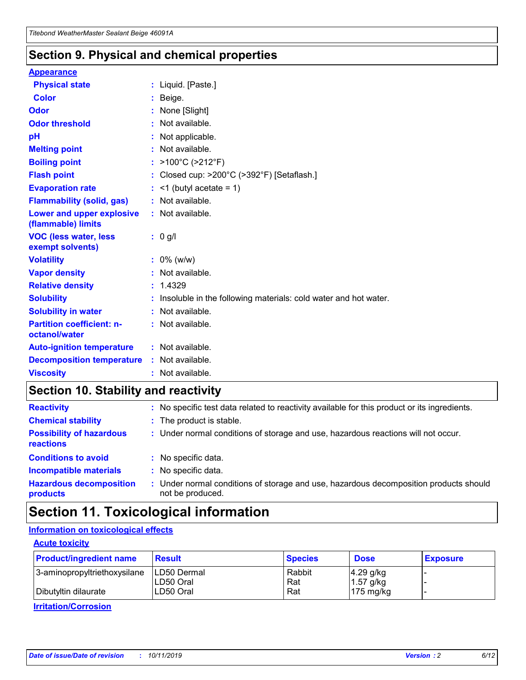## **Section 9. Physical and chemical properties**

### **Appearance**

| <b>Physical state</b>                             | : Liquid. [Paste.]                                                |
|---------------------------------------------------|-------------------------------------------------------------------|
| Color                                             | Beige.                                                            |
| Odor                                              | None [Slight]                                                     |
| <b>Odor threshold</b>                             | : Not available.                                                  |
| рH                                                | : Not applicable.                                                 |
| <b>Melting point</b>                              | : Not available.                                                  |
| <b>Boiling point</b>                              | : $>100^{\circ}$ C ( $>212^{\circ}$ F)                            |
| <b>Flash point</b>                                | : Closed cup: $>200^{\circ}$ C ( $>392^{\circ}$ F) [Setaflash.]   |
| <b>Evaporation rate</b>                           | $:$ <1 (butyl acetate = 1)                                        |
| <b>Flammability (solid, gas)</b>                  | : Not available.                                                  |
| Lower and upper explosive<br>(flammable) limits   | : Not available.                                                  |
| <b>VOC (less water, less</b><br>exempt solvents)  | $: 0$ g/l                                                         |
| <b>Volatility</b>                                 | $: 0\%$ (w/w)                                                     |
| <b>Vapor density</b>                              | : Not available.                                                  |
| <b>Relative density</b>                           | : 1.4329                                                          |
| <b>Solubility</b>                                 | : Insoluble in the following materials: cold water and hot water. |
| <b>Solubility in water</b>                        | : Not available.                                                  |
| <b>Partition coefficient: n-</b><br>octanol/water | : Not available.                                                  |
| <b>Auto-ignition temperature</b>                  | : Not available.                                                  |
| <b>Decomposition temperature</b>                  | : Not available.                                                  |
| <b>Viscosity</b>                                  | : Not available.                                                  |

# **Section 10. Stability and reactivity**

| <b>Reactivity</b>                            |    | : No specific test data related to reactivity available for this product or its ingredients.            |
|----------------------------------------------|----|---------------------------------------------------------------------------------------------------------|
| <b>Chemical stability</b>                    |    | : The product is stable.                                                                                |
| <b>Possibility of hazardous</b><br>reactions |    | : Under normal conditions of storage and use, hazardous reactions will not occur.                       |
| <b>Conditions to avoid</b>                   |    | : No specific data.                                                                                     |
| <b>Incompatible materials</b>                | ٠. | No specific data.                                                                                       |
| <b>Hazardous decomposition</b><br>products   | ÷. | Under normal conditions of storage and use, hazardous decomposition products should<br>not be produced. |

# **Section 11. Toxicological information**

## **Information on toxicological effects**

## **Acute toxicity**

| <b>Product/ingredient name</b> | <b>Result</b>           | <b>Species</b> | <b>Dose</b>                | <b>Exposure</b> |
|--------------------------------|-------------------------|----------------|----------------------------|-----------------|
| 3-aminopropyltriethoxysilane   | <b>ILD50 Dermal</b>     | Rabbit         | 4.29 g/kg                  |                 |
| Dibutyltin dilaurate           | ILD50 Oral<br>LD50 Oral | Rat<br>Rat     | $1.57$ g/kg<br>175 $mg/kg$ |                 |
|                                |                         |                |                            |                 |

**Irritation/Corrosion**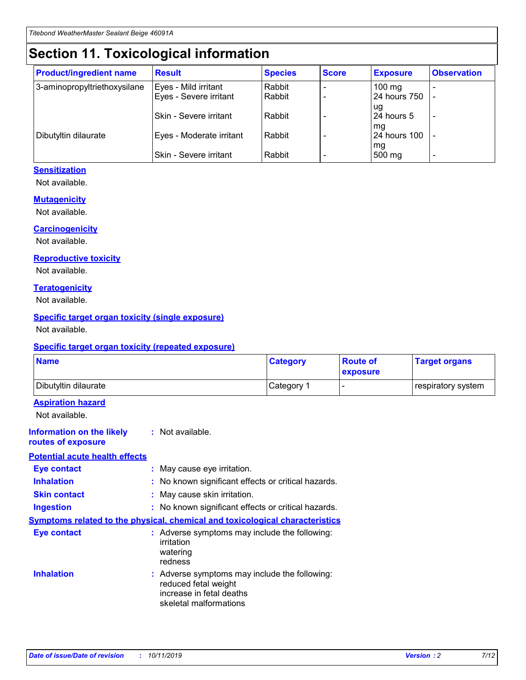# **Section 11. Toxicological information**

| <b>Product/ingredient name</b> | <b>Result</b>            | <b>Species</b> | <b>Score</b> | <b>Exposure</b>           | <b>Observation</b> |
|--------------------------------|--------------------------|----------------|--------------|---------------------------|--------------------|
| 3-aminopropyltriethoxysilane   | Eyes - Mild irritant     | Rabbit         |              | $100$ mg                  |                    |
|                                | Eyes - Severe irritant   | Rabbit         |              | 24 hours 750              |                    |
|                                |                          |                |              | ug                        |                    |
|                                | Skin - Severe irritant   | Rabbit         |              | 24 hours 5                | -                  |
| Dibutyltin dilaurate           | Eyes - Moderate irritant | Rabbit         |              | mq<br><b>24 hours 100</b> |                    |
|                                |                          |                |              | mg                        |                    |
|                                | Skin - Severe irritant   | Rabbit         |              | 500 mg                    |                    |

## **Sensitization**

Not available.

## **Mutagenicity**

Not available.

#### **Carcinogenicity**

Not available.

#### **Reproductive toxicity**

Not available.

#### **Teratogenicity**

Not available.

### **Specific target organ toxicity (single exposure)**

Not available.

#### **Specific target organ toxicity (repeated exposure)**

| <b>Name</b>                                                                  |                                                                                                                             | <b>Category</b> | <b>Route of</b><br>exposure  | <b>Target organs</b> |
|------------------------------------------------------------------------------|-----------------------------------------------------------------------------------------------------------------------------|-----------------|------------------------------|----------------------|
| Dibutyltin dilaurate                                                         |                                                                                                                             | Category 1      | $\qquad \qquad \blacksquare$ | respiratory system   |
| <b>Aspiration hazard</b><br>Not available.                                   |                                                                                                                             |                 |                              |                      |
| <b>Information on the likely</b><br>routes of exposure                       | : Not available.                                                                                                            |                 |                              |                      |
| <b>Potential acute health effects</b>                                        |                                                                                                                             |                 |                              |                      |
| <b>Eye contact</b>                                                           | : May cause eye irritation.                                                                                                 |                 |                              |                      |
| <b>Inhalation</b>                                                            | : No known significant effects or critical hazards.                                                                         |                 |                              |                      |
| <b>Skin contact</b>                                                          | : May cause skin irritation.                                                                                                |                 |                              |                      |
| <b>Ingestion</b>                                                             | : No known significant effects or critical hazards.                                                                         |                 |                              |                      |
| Symptoms related to the physical, chemical and toxicological characteristics |                                                                                                                             |                 |                              |                      |
| <b>Eye contact</b>                                                           | : Adverse symptoms may include the following:<br>irritation<br>watering<br>redness                                          |                 |                              |                      |
| <b>Inhalation</b>                                                            | : Adverse symptoms may include the following:<br>reduced fetal weight<br>increase in fetal deaths<br>skeletal malformations |                 |                              |                      |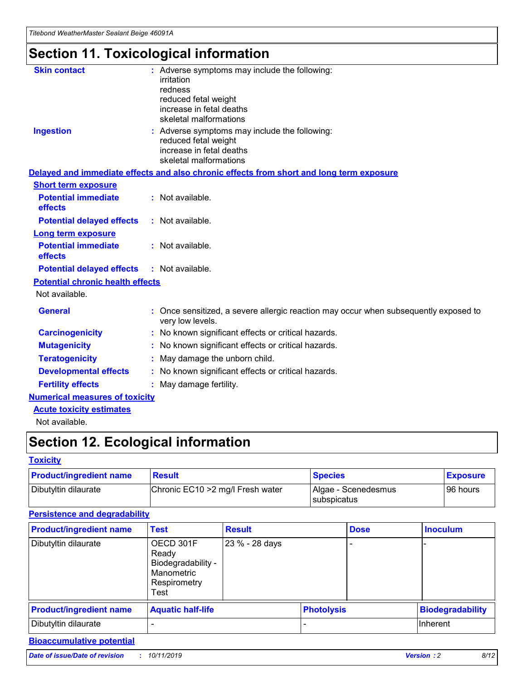# **Section 11. Toxicological information**

| <b>Skin contact</b>                     |                                                                                                          |
|-----------------------------------------|----------------------------------------------------------------------------------------------------------|
|                                         | : Adverse symptoms may include the following:<br>irritation                                              |
|                                         | redness                                                                                                  |
|                                         | reduced fetal weight                                                                                     |
|                                         | increase in fetal deaths                                                                                 |
|                                         | skeletal malformations                                                                                   |
| <b>Ingestion</b>                        | : Adverse symptoms may include the following:                                                            |
|                                         | reduced fetal weight                                                                                     |
|                                         | increase in fetal deaths                                                                                 |
|                                         | skeletal malformations                                                                                   |
|                                         | Delayed and immediate effects and also chronic effects from short and long term exposure                 |
| <b>Short term exposure</b>              |                                                                                                          |
| <b>Potential immediate</b>              | : Not available.                                                                                         |
| effects                                 |                                                                                                          |
| <b>Potential delayed effects</b>        | : Not available.                                                                                         |
| <b>Long term exposure</b>               |                                                                                                          |
| <b>Potential immediate</b>              | : Not available.                                                                                         |
| effects                                 |                                                                                                          |
| <b>Potential delayed effects</b>        | : Not available.                                                                                         |
| <b>Potential chronic health effects</b> |                                                                                                          |
| Not available.                          |                                                                                                          |
| <b>General</b>                          | : Once sensitized, a severe allergic reaction may occur when subsequently exposed to<br>very low levels. |
| <b>Carcinogenicity</b>                  | : No known significant effects or critical hazards.                                                      |
| <b>Mutagenicity</b>                     | No known significant effects or critical hazards.                                                        |
| <b>Teratogenicity</b>                   | May damage the unborn child.                                                                             |
| <b>Developmental effects</b>            | No known significant effects or critical hazards.                                                        |
| <b>Fertility effects</b>                | : May damage fertility.                                                                                  |
| <b>Numerical measures of toxicity</b>   |                                                                                                          |
| <b>Acute toxicity estimates</b>         |                                                                                                          |
|                                         |                                                                                                          |

Not available.

# **Section 12. Ecological information**

### **Toxicity**

| <b>Product/ingredient name</b> | <b>Result</b>                     | <b>Species</b>                       | <b>Exposure</b> |
|--------------------------------|-----------------------------------|--------------------------------------|-----------------|
| Dibutyltin dilaurate           | Chronic EC10 > 2 mg/l Fresh water | Algae - Scenedesmus<br>I subspicatus | l 96 hours i    |

## **Persistence and degradability**

| <b>Product/ingredient name</b> | <b>Test</b>                                                                    | <b>Result</b>  |                   | <b>Dose</b> | <b>Inoculum</b>         |
|--------------------------------|--------------------------------------------------------------------------------|----------------|-------------------|-------------|-------------------------|
| Dibutyltin dilaurate           | OECD 301F<br>Ready<br>Biodegradability -<br>Manometric<br>Respirometry<br>Test | 23 % - 28 days |                   |             |                         |
| <b>Product/ingredient name</b> | <b>Aquatic half-life</b>                                                       |                | <b>Photolysis</b> |             | <b>Biodegradability</b> |
| Dibutyltin dilaurate           |                                                                                |                |                   |             | Inherent                |

## **Bioaccumulative potential**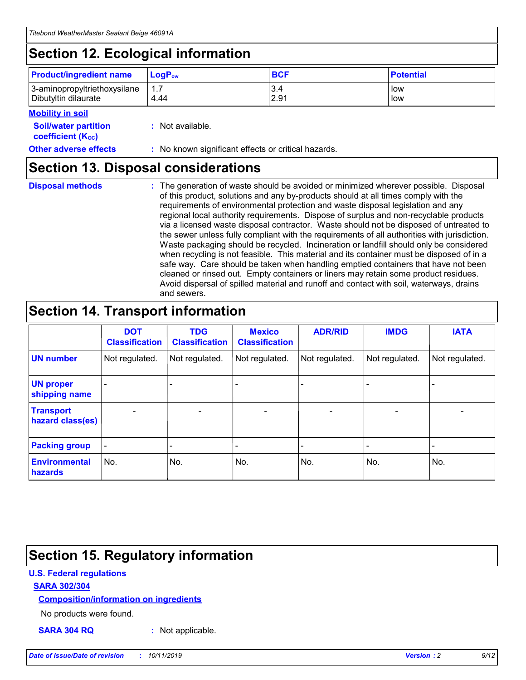# **Section 12. Ecological information**

| <b>Product/ingredient name</b> | $LoaPow$ | <b>BCF</b> | <b>Potential</b> |
|--------------------------------|----------|------------|------------------|
| 3-aminopropyltriethoxysilane   | 1.7      | 3.4        | low              |
| Dibutyltin dilaurate           | 4.44     | 2.91       | low              |

## **Mobility in soil**

| <i></i>                                                       |                                                     |
|---------------------------------------------------------------|-----------------------------------------------------|
| <b>Soil/water partition</b><br>coefficient (K <sub>oc</sub> ) | : Not available.                                    |
| <b>Other adverse effects</b>                                  | : No known significant effects or critical hazards. |

## **Section 13. Disposal considerations**

**Disposal methods :**

The generation of waste should be avoided or minimized wherever possible. Disposal of this product, solutions and any by-products should at all times comply with the requirements of environmental protection and waste disposal legislation and any regional local authority requirements. Dispose of surplus and non-recyclable products via a licensed waste disposal contractor. Waste should not be disposed of untreated to the sewer unless fully compliant with the requirements of all authorities with jurisdiction. Waste packaging should be recycled. Incineration or landfill should only be considered when recycling is not feasible. This material and its container must be disposed of in a safe way. Care should be taken when handling emptied containers that have not been cleaned or rinsed out. Empty containers or liners may retain some product residues. Avoid dispersal of spilled material and runoff and contact with soil, waterways, drains and sewers.

# **Section 14. Transport information**

|                                      | <b>DOT</b><br><b>Classification</b> | <b>TDG</b><br><b>Classification</b> | <b>Mexico</b><br><b>Classification</b> | <b>ADR/RID</b>           | <b>IMDG</b>              | <b>IATA</b>    |
|--------------------------------------|-------------------------------------|-------------------------------------|----------------------------------------|--------------------------|--------------------------|----------------|
| <b>UN number</b>                     | Not regulated.                      | Not regulated.                      | Not regulated.                         | Not regulated.           | Not regulated.           | Not regulated. |
| <b>UN proper</b><br>shipping name    | $\blacksquare$                      |                                     |                                        |                          |                          |                |
| <b>Transport</b><br>hazard class(es) | $\blacksquare$                      | $\overline{\phantom{a}}$            | $\overline{\phantom{a}}$               | $\overline{\phantom{a}}$ | $\overline{\phantom{a}}$ | $\blacksquare$ |
| <b>Packing group</b>                 | $\overline{\phantom{a}}$            | -                                   | -                                      | -                        |                          | -              |
| <b>Environmental</b><br>hazards      | No.                                 | No.                                 | No.                                    | No.                      | No.                      | No.            |

# **Section 15. Regulatory information**

## **U.S. Federal regulations**

## **SARA 302/304**

## **Composition/information on ingredients**

No products were found.

**SARA 304 RQ :** Not applicable.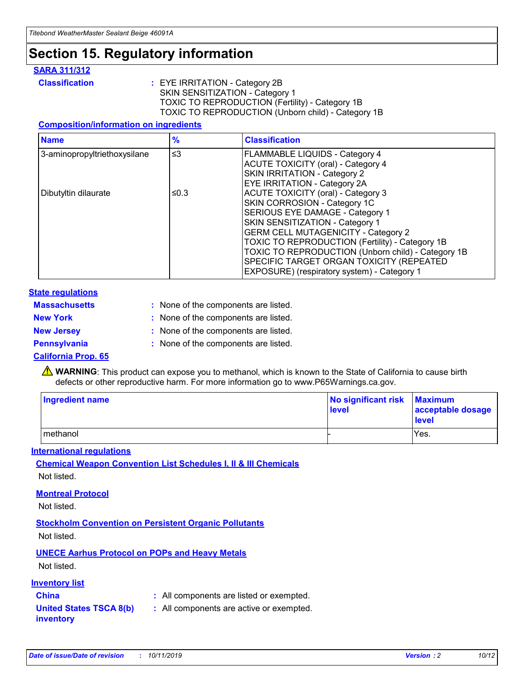# **Section 15. Regulatory information**

## **SARA 311/312**

**Classification :** EYE IRRITATION - Category 2B SKIN SENSITIZATION - Category 1 TOXIC TO REPRODUCTION (Fertility) - Category 1B TOXIC TO REPRODUCTION (Unborn child) - Category 1B

## **Composition/information on ingredients**

| <b>Name</b>                  | $\frac{9}{6}$ | <b>Classification</b>                                                                                            |
|------------------------------|---------------|------------------------------------------------------------------------------------------------------------------|
| 3-aminopropyltriethoxysilane | $\leq$ 3      | <b>FLAMMABLE LIQUIDS - Category 4</b><br><b>ACUTE TOXICITY (oral) - Category 4</b>                               |
|                              |               | SKIN IRRITATION - Category 2<br>EYE IRRITATION - Category 2A                                                     |
| Dibutyltin dilaurate         | ≤0.3          | ACUTE TOXICITY (oral) - Category 3<br>SKIN CORROSION - Category 1C                                               |
|                              |               | SERIOUS EYE DAMAGE - Category 1<br>SKIN SENSITIZATION - Category 1<br><b>GERM CELL MUTAGENICITY - Category 2</b> |
|                              |               | TOXIC TO REPRODUCTION (Fertility) - Category 1B<br>TOXIC TO REPRODUCTION (Unborn child) - Category 1B            |
|                              |               | SPECIFIC TARGET ORGAN TOXICITY (REPEATED<br>EXPOSURE) (respiratory system) - Category 1                          |

### **State regulations**

| <b>Massachusetts</b> | : None of the components are listed. |
|----------------------|--------------------------------------|
| <b>New York</b>      | : None of the components are listed. |
| <b>New Jersey</b>    | : None of the components are listed. |
| <b>Pennsylvania</b>  | : None of the components are listed. |

### **California Prop. 65**

**A** WARNING: This product can expose you to methanol, which is known to the State of California to cause birth defects or other reproductive harm. For more information go to www.P65Warnings.ca.gov.

| <b>Ingredient name</b> | No significant risk Maximum<br>level | acceptable dosage<br>level |
|------------------------|--------------------------------------|----------------------------|
| methanol               |                                      | Yes.                       |

### **International regulations**

**Chemical Weapon Convention List Schedules I, II & III Chemicals** Not listed.

### **Montreal Protocol**

Not listed.

**Stockholm Convention on Persistent Organic Pollutants**

Not listed.

## **UNECE Aarhus Protocol on POPs and Heavy Metals**

Not listed.

## **Inventory list**

## **China :** All components are listed or exempted.

**United States TSCA 8(b) inventory :** All components are active or exempted.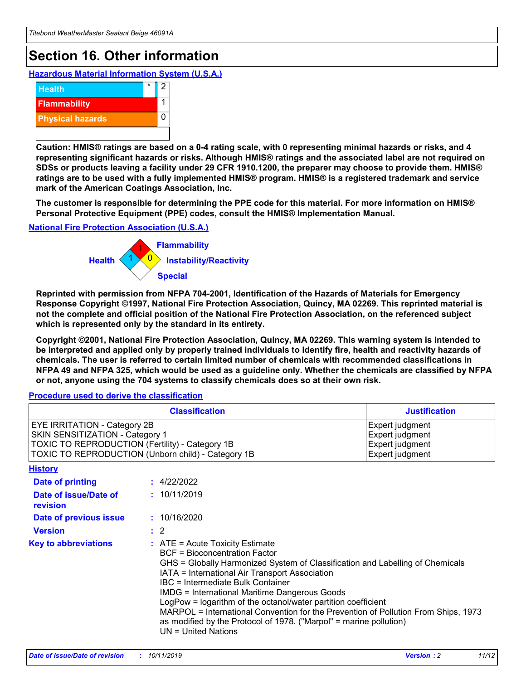# **Section 16. Other information**

**Hazardous Material Information System (U.S.A.)**



**Caution: HMIS® ratings are based on a 0-4 rating scale, with 0 representing minimal hazards or risks, and 4 representing significant hazards or risks. Although HMIS® ratings and the associated label are not required on SDSs or products leaving a facility under 29 CFR 1910.1200, the preparer may choose to provide them. HMIS® ratings are to be used with a fully implemented HMIS® program. HMIS® is a registered trademark and service mark of the American Coatings Association, Inc.**

**The customer is responsible for determining the PPE code for this material. For more information on HMIS® Personal Protective Equipment (PPE) codes, consult the HMIS® Implementation Manual.**

### **National Fire Protection Association (U.S.A.)**



**Reprinted with permission from NFPA 704-2001, Identification of the Hazards of Materials for Emergency Response Copyright ©1997, National Fire Protection Association, Quincy, MA 02269. This reprinted material is not the complete and official position of the National Fire Protection Association, on the referenced subject which is represented only by the standard in its entirety.**

**Copyright ©2001, National Fire Protection Association, Quincy, MA 02269. This warning system is intended to be interpreted and applied only by properly trained individuals to identify fire, health and reactivity hazards of chemicals. The user is referred to certain limited number of chemicals with recommended classifications in NFPA 49 and NFPA 325, which would be used as a guideline only. Whether the chemicals are classified by NFPA or not, anyone using the 704 systems to classify chemicals does so at their own risk.**

**Procedure used to derive the classification**

| <b>Classification</b>                                                                                                                                                    |                                                                                                                                                  | <b>Justification</b>                                                                                                                                                                                                                                                                                                                                                                                                 |  |
|--------------------------------------------------------------------------------------------------------------------------------------------------------------------------|--------------------------------------------------------------------------------------------------------------------------------------------------|----------------------------------------------------------------------------------------------------------------------------------------------------------------------------------------------------------------------------------------------------------------------------------------------------------------------------------------------------------------------------------------------------------------------|--|
| EYE IRRITATION - Category 2B<br>SKIN SENSITIZATION - Category 1<br>TOXIC TO REPRODUCTION (Fertility) - Category 1B<br>TOXIC TO REPRODUCTION (Unborn child) - Category 1B |                                                                                                                                                  | Expert judgment<br>Expert judgment<br>Expert judgment<br>Expert judgment                                                                                                                                                                                                                                                                                                                                             |  |
| <b>History</b>                                                                                                                                                           |                                                                                                                                                  |                                                                                                                                                                                                                                                                                                                                                                                                                      |  |
| Date of printing                                                                                                                                                         | : 4/22/2022                                                                                                                                      |                                                                                                                                                                                                                                                                                                                                                                                                                      |  |
| Date of issue/Date of<br>revision                                                                                                                                        | : 10/11/2019                                                                                                                                     |                                                                                                                                                                                                                                                                                                                                                                                                                      |  |
| Date of previous issue                                                                                                                                                   | : 10/16/2020                                                                                                                                     |                                                                                                                                                                                                                                                                                                                                                                                                                      |  |
| <b>Version</b>                                                                                                                                                           | $\therefore$ 2                                                                                                                                   |                                                                                                                                                                                                                                                                                                                                                                                                                      |  |
| <b>Key to abbreviations</b>                                                                                                                                              | $\therefore$ ATE = Acute Toxicity Estimate<br><b>BCF</b> = Bioconcentration Factor<br>IBC = Intermediate Bulk Container<br>$UN = United Nations$ | GHS = Globally Harmonized System of Classification and Labelling of Chemicals<br>IATA = International Air Transport Association<br><b>IMDG = International Maritime Dangerous Goods</b><br>LogPow = logarithm of the octanol/water partition coefficient<br>MARPOL = International Convention for the Prevention of Pollution From Ships, 1973<br>as modified by the Protocol of 1978. ("Marpol" = marine pollution) |  |